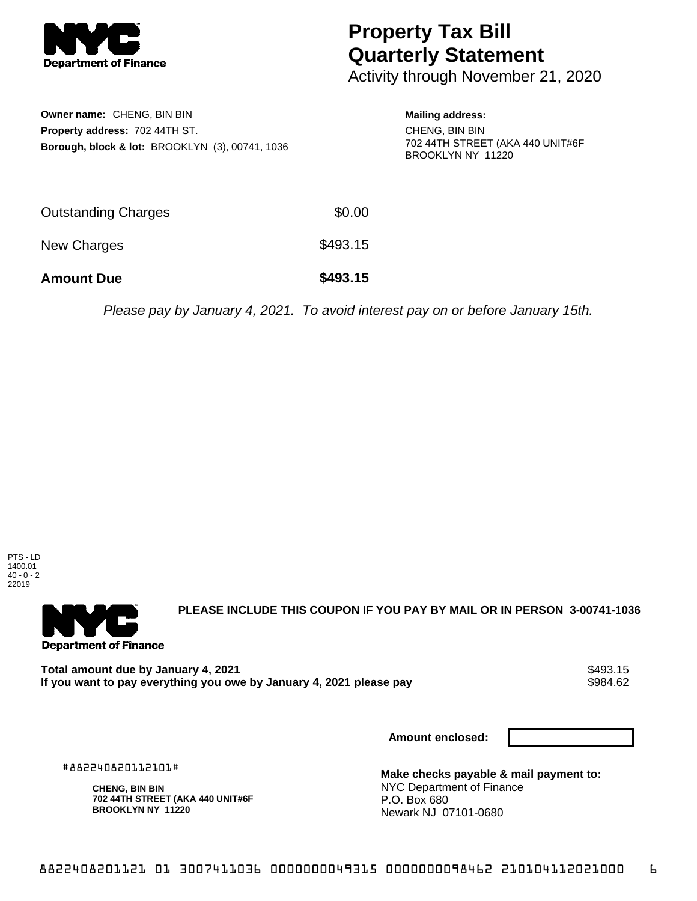

## **Property Tax Bill Quarterly Statement**

Activity through November 21, 2020

| Owner name: CHENG, BIN BIN                                 |  |
|------------------------------------------------------------|--|
| <b>Property address: 702 44TH ST.</b>                      |  |
| <b>Borough, block &amp; lot: BROOKLYN (3), 00741, 1036</b> |  |

## **Mailing address:**

CHENG, BIN BIN 702 44TH STREET (AKA 440 UNIT#6F BROOKLYN NY 11220

| <b>Amount Due</b>          | \$493.15 |
|----------------------------|----------|
| New Charges                | \$493.15 |
| <b>Outstanding Charges</b> | \$0.00   |

Please pay by January 4, 2021. To avoid interest pay on or before January 15th.





**PLEASE INCLUDE THIS COUPON IF YOU PAY BY MAIL OR IN PERSON 3-00741-1036** 

Total amount due by January 4, 2021<br>If you want to pay everything you owe by January 4, 2021 please pay **show that the seam of the seam of the s**984.62 If you want to pay everything you owe by January 4, 2021 please pay

**Amount enclosed:**

#882240820112101#

**CHENG, BIN BIN 702 44TH STREET (AKA 440 UNIT#6F BROOKLYN NY 11220**

**Make checks payable & mail payment to:** NYC Department of Finance P.O. Box 680 Newark NJ 07101-0680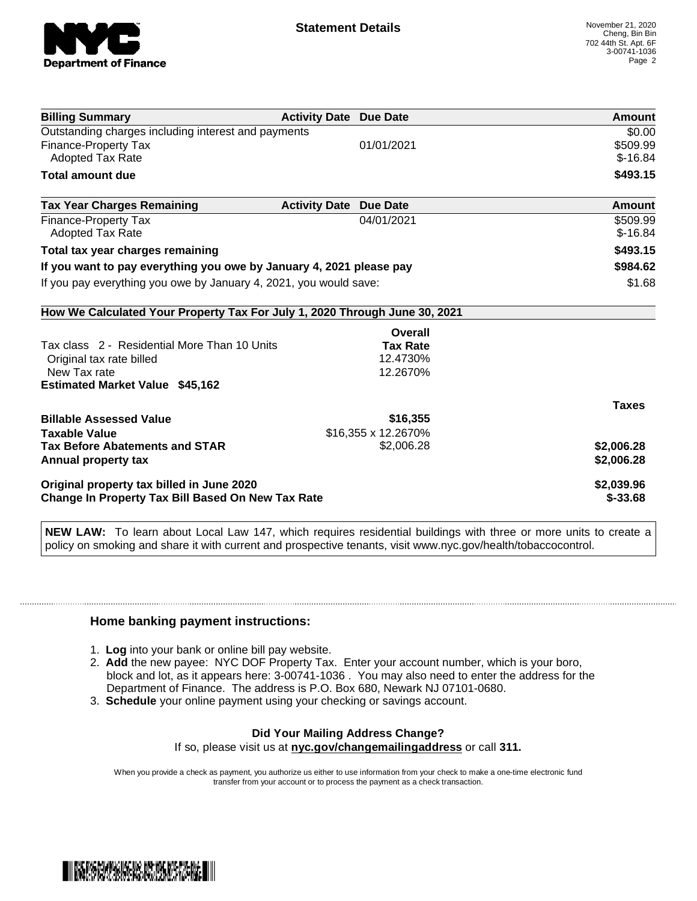

| <b>Billing Summary</b>                                                     | <b>Activity Date Due Date</b>           | Amount       |
|----------------------------------------------------------------------------|-----------------------------------------|--------------|
| Outstanding charges including interest and payments                        |                                         | \$0.00       |
| Finance-Property Tax                                                       | 01/01/2021                              | \$509.99     |
| <b>Adopted Tax Rate</b>                                                    |                                         | $$-16.84$    |
| <b>Total amount due</b>                                                    |                                         | \$493.15     |
| <b>Tax Year Charges Remaining</b>                                          | <b>Activity Date</b><br><b>Due Date</b> | Amount       |
| <b>Finance-Property Tax</b>                                                | 04/01/2021                              | \$509.99     |
| <b>Adopted Tax Rate</b>                                                    |                                         | $$-16.84$    |
| Total tax year charges remaining                                           |                                         | \$493.15     |
| If you want to pay everything you owe by January 4, 2021 please pay        |                                         | \$984.62     |
| If you pay everything you owe by January 4, 2021, you would save:          |                                         | \$1.68       |
| How We Calculated Your Property Tax For July 1, 2020 Through June 30, 2021 |                                         |              |
|                                                                            | Overall                                 |              |
| Tax class 2 - Residential More Than 10 Units                               | <b>Tax Rate</b>                         |              |
| Original tax rate billed                                                   | 12.4730%                                |              |
| New Tax rate                                                               | 12.2670%                                |              |
| <b>Estimated Market Value \$45,162</b>                                     |                                         |              |
|                                                                            |                                         | <b>Taxes</b> |
| <b>Billable Assessed Value</b>                                             | \$16,355                                |              |
| <b>Taxable Value</b>                                                       | \$16,355 x 12.2670%                     |              |
| <b>Tax Before Abatements and STAR</b>                                      | \$2,006.28                              | \$2,006.28   |
| Annual property tax                                                        |                                         | \$2,006.28   |
| Original property tax billed in June 2020                                  |                                         | \$2,039.96   |
| <b>Change In Property Tax Bill Based On New Tax Rate</b>                   |                                         | $$ -33.68$   |

**NEW LAW:** To learn about Local Law 147, which requires residential buildings with three or more units to create a policy on smoking and share it with current and prospective tenants, visit www.nyc.gov/health/tobaccocontrol.

## **Home banking payment instructions:**

- 1. **Log** into your bank or online bill pay website.
- 2. **Add** the new payee: NYC DOF Property Tax. Enter your account number, which is your boro, block and lot, as it appears here: 3-00741-1036 . You may also need to enter the address for the Department of Finance. The address is P.O. Box 680, Newark NJ 07101-0680.
- 3. **Schedule** your online payment using your checking or savings account.

## **Did Your Mailing Address Change?** If so, please visit us at **nyc.gov/changemailingaddress** or call **311.**

When you provide a check as payment, you authorize us either to use information from your check to make a one-time electronic fund transfer from your account or to process the payment as a check transaction.